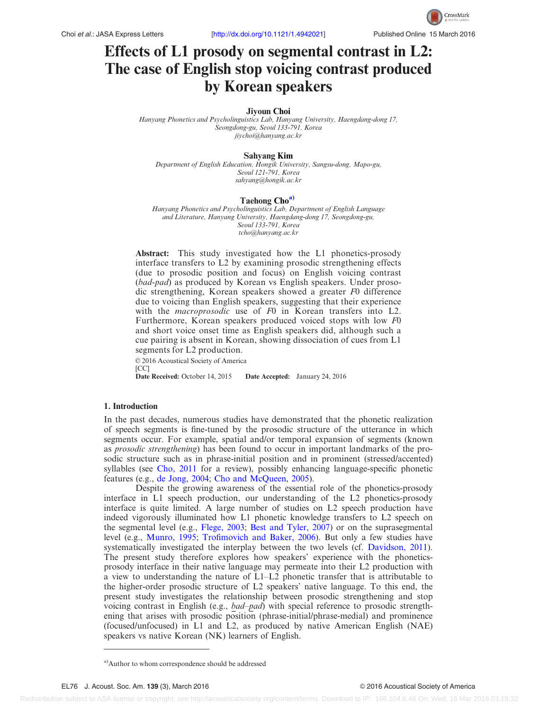# Effects of L1 prosody on segmental contrast in L2: The case of English stop voicing contrast produced by Korean speakers

## Jiyoun Choi

Hanyang Phonetics and Psycholinguistics Lab, Hanyang University, Haengdang-dong 17, Seongdong-gu, Seoul 133-791, Korea [jiychoi@hanyang.ac.kr](mailto:jiychoi@hanyang.ac.kr)

#### Sahyang Kim

Department of English Education, Hongik University, Sangsu-dong, Mapo-gu, Seoul 121-791, Korea [sahyang@hongik.ac.kr](mailto:sahyang@hongik.ac.kr)

#### Taehong Cho<sup>a)</sup>

Hanyang Phonetics and Psycholinguistics Lab, Department of English Language and Literature, Hanyang University, Haengdang-dong 17, Seongdong-gu, Seoul 133-791, Korea [tcho@hanyang.ac.kr](mailto:tcho@hanyang.ac.kr)

Abstract: This study investigated how the L1 phonetics-prosody interface transfers to L2 by examining prosodic strengthening effects (due to prosodic position and focus) on English voicing contrast (bad-pad) as produced by Korean vs English speakers. Under prosodic strengthening, Korean speakers showed a greater F0 difference due to voicing than English speakers, suggesting that their experience with the *macroprosodic* use of F0 in Korean transfers into L2. Furthermore, Korean speakers produced voiced stops with low F0 and short voice onset time as English speakers did, although such a cue pairing is absent in Korean, showing dissociation of cues from L1 segments for L2 production.

 $© 2016$  Acoustical Society of America [CC]<br>**Date Received:** October 14, 2015 Date Accepted: January 24, 2016

## 1. Introduction

In the past decades, numerous studies have demonstrated that the phonetic realization of speech segments is fine-tuned by the prosodic structure of the utterance in which segments occur. For example, spatial and/or temporal expansion of segments (known as prosodic strengthening) has been found to occur in important landmarks of the prosodic structure such as in phrase-initial position and in prominent (stressed/accented) syllables (see [Cho, 2011](#page-5-0) for a review), possibly enhancing language-specific phonetic features (e.g., [de Jong, 2004](#page-5-0); [Cho and McQueen, 2005\)](#page-5-0).

Despite the growing awareness of the essential role of the phonetics-prosody interface in L1 speech production, our understanding of the L2 phonetics-prosody interface is quite limited. A large number of studies on L2 speech production have indeed vigorously illuminated how L1 phonetic knowledge transfers to L2 speech on the segmental level (e.g., [Flege, 2003;](#page-5-0) [Best and Tyler, 2007](#page-5-0)) or on the suprasegmental level (e.g., [Munro, 1995;](#page-5-0) [Trofimovich and Baker, 2006\)](#page-6-0). But only a few studies have systematically investigated the interplay between the two levels (cf. [Davidson, 2011\)](#page-5-0). The present study therefore explores how speakers' experience with the phoneticsprosody interface in their native language may permeate into their L2 production with a view to understanding the nature of L1–L2 phonetic transfer that is attributable to the higher-order prosodic structure of L2 speakers' native language. To this end, the present study investigates the relationship between prosodic strengthening and stop voicing contrast in English (e.g., *bad–pad*) with special reference to prosodic strengthening that arises with prosodic position (phrase-initial/phrase-medial) and prominence (focused/unfocused) in L1 and L2, as produced by native American English (NAE) speakers vs native Korean (NK) learners of English.

Redistribution subject to ASA license or copyright; see http://acousticalsociety.org/content/terms. Download to IP: 166.104.6.46 On: Wed, 16 Mar 2016 03:19:32

<sup>&</sup>lt;sup>a)</sup>Author to whom correspondence should be addressed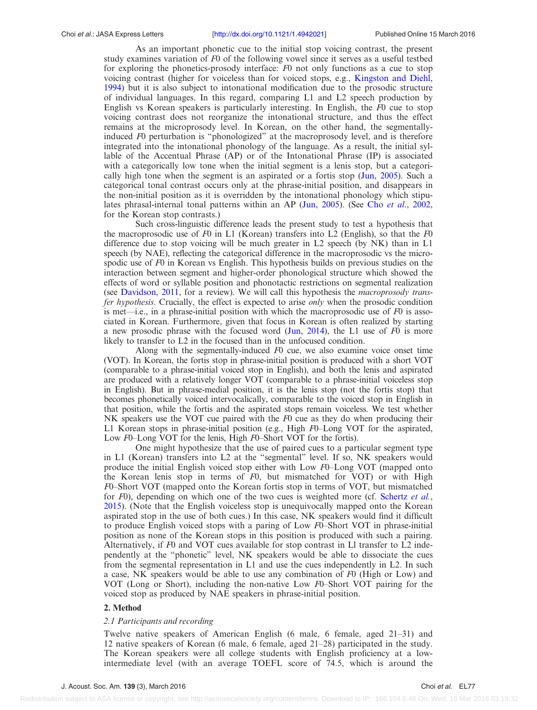As an important phonetic cue to the initial stop voicing contrast, the present study examines variation of F0 of the following vowel since it serves as a useful testbed for exploring the phonetics-prosody interface: F0 not only functions as a cue to stop voicing contrast (higher for voiceless than for voiced stops, e.g., [Kingston and Diehl,](#page-5-0) [1994\)](#page-5-0) but it is also subject to intonational modification due to the prosodic structure of individual languages. In this regard, comparing L1 and L2 speech production by English vs Korean speakers is particularly interesting. In English, the F0 cue to stop voicing contrast does not reorganize the intonational structure, and thus the effect remains at the microprosody level. In Korean, on the other hand, the segmentallyinduced F0 perturbation is "phonologized" at the macroprosody level, and is therefore integrated into the intonational phonology of the language. As a result, the initial syllable of the Accentual Phrase (AP) or of the Intonational Phrase (IP) is associated with a categorically low tone when the initial segment is a lenis stop, but a categorically high tone when the segment is an aspirated or a fortis stop ([Jun, 2005\)](#page-5-0). Such a categorical tonal contrast occurs only at the phrase-initial position, and disappears in the non-initial position as it is overridden by the intonational phonology which stipu-lates phrasal-internal tonal patterns within an AP ([Jun, 2005](#page-5-0)). (See Cho *et al.*, 2002, for the Korean stop contrasts.)

Such cross-linguistic difference leads the present study to test a hypothesis that the macroprosodic use of F0 in L1 (Korean) transfers into L2 (English), so that the F0 difference due to stop voicing will be much greater in L2 speech (by NK) than in L1 speech (by NAE), reflecting the categorical difference in the macroprosodic vs the microspodic use of  $F<sub>0</sub>$  in Korean vs English. This hypothesis builds on previous studies on the interaction between segment and higher-order phonological structure which showed the effects of word or syllable position and phonotactic restrictions on segmental realization (see [Davidson, 2011,](#page-5-0) for a review). We will call this hypothesis the macroprosody transfer hypothesis. Crucially, the effect is expected to arise only when the prosodic condition is met—i.e., in a phrase-initial position with which the macroprosodic use of  $F0$  is associated in Korean. Furthermore, given that focus in Korean is often realized by starting a new prosodic phrase with the focused word ([Jun, 2014\)](#page-5-0), the L1 use of  $F0$  is more likely to transfer to L2 in the focused than in the unfocused condition.

Along with the segmentally-induced  $F0$  cue, we also examine voice onset time (VOT). In Korean, the fortis stop in phrase-initial position is produced with a short VOT (comparable to a phrase-initial voiced stop in English), and both the lenis and aspirated are produced with a relatively longer VOT (comparable to a phrase-initial voiceless stop in English). But in phrase-medial position, it is the lenis stop (not the fortis stop) that becomes phonetically voiced intervocalically, comparable to the voiced stop in English in that position, while the fortis and the aspirated stops remain voiceless. We test whether NK speakers use the VOT cue paired with the F0 cue as they do when producing their L1 Korean stops in phrase-initial position (e.g., High F0–Long VOT for the aspirated, Low F0–Long VOT for the lenis, High F0–Short VOT for the fortis).

One might hypothesize that the use of paired cues to a particular segment type in L1 (Korean) transfers into L2 at the "segmental" level. If so, NK speakers would produce the initial English voiced stop either with Low F0–Long VOT (mapped onto the Korean lenis stop in terms of F0, but mismatched for VOT) or with High F0–Short VOT (mapped onto the Korean fortis stop in terms of VOT, but mismatched for F0), depending on which one of the two cues is weighted more (cf. [Schertz](#page-6-0) et al., [2015\)](#page-6-0). (Note that the English voiceless stop is unequivocally mapped onto the Korean aspirated stop in the use of both cues.) In this case, NK speakers would find it difficult to produce English voiced stops with a paring of Low  $F_0$ –Short VOT in phrase-initial position as none of the Korean stops in this position is produced with such a pairing. Alternatively, if F0 and VOT cues available for stop contrast in Ll transfer to L2 independently at the "phonetic" level, NK speakers would be able to dissociate the cues from the segmental representation in L1 and use the cues independently in L2. In such a case, NK speakers would be able to use any combination of  $F0$  (High or Low) and VOT (Long or Short), including the non-native Low F0–Short VOT pairing for the voiced stop as produced by NAE speakers in phrase-initial position.

## 2. Method

## 2.1 Participants and recording

Twelve native speakers of American English (6 male, 6 female, aged 21–31) and 12 native speakers of Korean (6 male, 6 female, aged 21–28) participated in the study. The Korean speakers were all college students with English proficiency at a lowintermediate level (with an average TOEFL score of 74.5, which is around the

Redistribution subject to ASA license or copyright; see http://acousticalsociety.org/content/terms. Download to IP: 166.104.6.46 On: Wed, 16 Mar 2016 03:19:32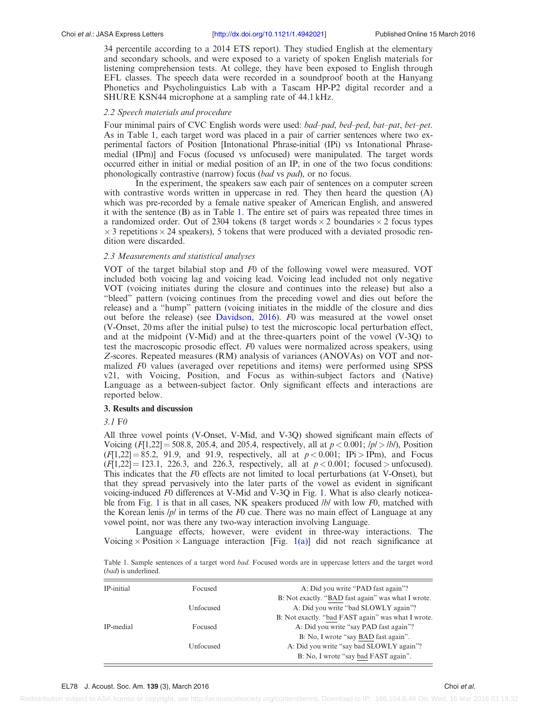#### Choi et al.: JASA Express Letters [\[http://dx.doi.org/10.1121/1.4942021\]](http://dx.doi.org/10.1121/1.4942021) Published Online 15 March 2016

34 percentile according to a 2014 ETS report). They studied English at the elementary and secondary schools, and were exposed to a variety of spoken English materials for listening comprehension tests. At college, they have been exposed to English through EFL classes. The speech data were recorded in a soundproof booth at the Hanyang Phonetics and Psycholinguistics Lab with a Tascam HP-P2 digital recorder and a SHURE KSN44 microphone at a sampling rate of 44.1 kHz.

# 2.2 Speech materials and procedure

Four minimal pairs of CVC English words were used: bad–pad, bed–ped, bat–pat, bet–pet. As in Table 1, each target word was placed in a pair of carrier sentences where two experimental factors of Position [Intonational Phrase-initial (IPi) vs Intonational Phrasemedial (IPm)] and Focus (focused vs unfocused) were manipulated. The target words occurred either in initial or medial position of an IP, in one of the two focus conditions: phonologically contrastive (narrow) focus (bad vs pad), or no focus.

In the experiment, the speakers saw each pair of sentences on a computer screen with contrastive words written in uppercase in red. They then heard the question (A) which was pre-recorded by a female native speaker of American English, and answered it with the sentence (B) as in Table 1. The entire set of pairs was repeated three times in a randomized order. Out of 2304 tokens (8 target words  $\times$  2 boundaries  $\times$  2 focus types  $\times$  3 repetitions  $\times$  24 speakers), 5 tokens that were produced with a deviated prosodic rendition were discarded.

# 2.3 Measurements and statistical analyses

VOT of the target bilabial stop and F0 of the following vowel were measured. VOT included both voicing lag and voicing lead. Voicing lead included not only negative VOT (voicing initiates during the closure and continues into the release) but also a "bleed" pattern (voicing continues from the preceding vowel and dies out before the release) and a "hump" pattern (voicing initiates in the middle of the closure and dies out before the release) (see [Davidson, 2016](#page-5-0)). F0 was measured at the vowel onset (V-Onset, 20 ms after the initial pulse) to test the microscopic local perturbation effect, and at the midpoint (V-Mid) and at the three-quarters point of the vowel (V-3Q) to test the macroscopic prosodic effect. F0 values were normalized across speakers, using Z-scores. Repeated measures (RM) analysis of variances (ANOVAs) on VOT and normalized F0 values (averaged over repetitions and items) were performed using SPSS v21, with Voicing, Position, and Focus as within-subject factors and (Native) Language as a between-subject factor. Only significant effects and interactions are reported below.

## 3. Results and discussion

## 3.1 F0

All three vowel points (V-Onset, V-Mid, and V-3Q) showed significant main effects of Voicing  $(F[1,22] = 508.8, 205.4,$  and 205.4, respectively, all at  $p < 0.001$ ;  $\frac{p}{>}/\frac{b}{|}$ , Position  $(F[1,22] = 85.2, 91.9, \text{ and } 91.9, \text{ respectively, all at } p < 0.001; \text{ IPi} > \text{IPm}$ , and Focus  $(F[1,22] = 123.1, 226.3, \text{ and } 226.3, \text{ respectively, all at } p < 0.001; \text{ focused} > \text{unfocused}.$ This indicates that the F0 effects are not limited to local perturbations (at V-Onset), but that they spread pervasively into the later parts of the vowel as evident in significant voicing-induced  $F0$  differences at V-Mid and V-3Q in Fig. [1.](#page-3-0) What is also clearly noticea-ble from Fig. [1](#page-3-0) is that in all cases, NK speakers produced *lb/* with low F0, matched with the Korean lenis  $/p/$  in terms of the F0 cue. There was no main effect of Language at any vowel point, nor was there any two-way interaction involving Language.

Language effects, however, were evident in three-way interactions. The Voicing  $\times$  Position  $\times$  Language interaction [Fig. [1\(a\)](#page-3-0)] did not reach significance at

Table 1. Sample sentences of a target word bad. Focused words are in uppercase letters and the target word (bad) is underlined.

| IP-initial | Focused   | A: Did you write "PAD fast again"?                 |
|------------|-----------|----------------------------------------------------|
|            |           | B: Not exactly. "BAD fast again" was what I wrote. |
|            | Unfocused | A: Did you write "bad SLOWLY again"?               |
|            |           | B: Not exactly. "bad FAST again" was what I wrote. |
| IP-medial  | Focused   | A: Did you write "say PAD fast again"?             |
|            |           | B: No, I wrote "say BAD fast again".               |
|            | Unfocused | A: Did you write "say bad SLOWLY again"?           |
|            |           | B: No, I wrote "say bad FAST again".               |
|            |           |                                                    |

Redistribution subject to ASA license or copyright; see http://acousticalsociety.org/content/terms. Download to IP: 166.104.6.46 On: Wed, 16 Mar 2016 03:19:32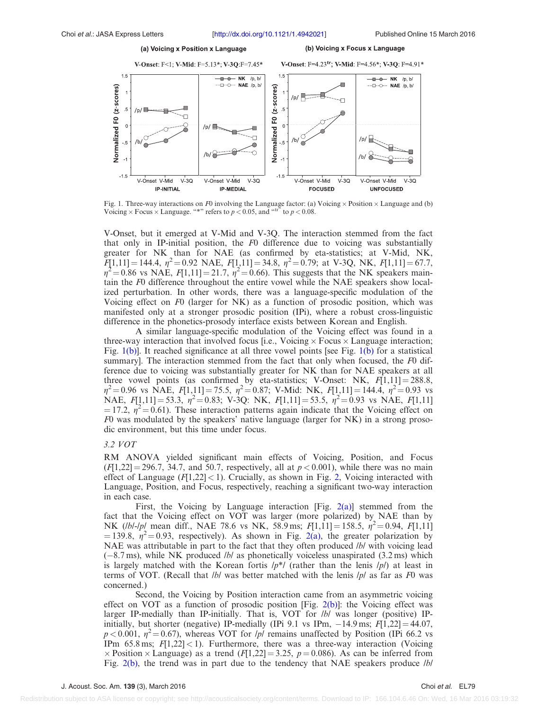#### <span id="page-3-0"></span>Choi et al.: JASA Express Letters [\[http://dx.doi.org/10.1121/1.4942021\]](http://dx.doi.org/10.1121/1.4942021) Published Online 15 March 2016



Fig. 1. Three-way interactions on F0 involving the Language factor: (a) Voicing  $\times$  Position  $\times$  Language and (b) Voicing  $\times$  Focus  $\times$  Language. "\*" refers to  $p < 0.05$ , and "<sup>tr"</sup> to  $p < 0.08$ .

V-Onset, but it emerged at V-Mid and V-3Q. The interaction stemmed from the fact that only in IP-initial position, the F0 difference due to voicing was substantially greater for NK than for NAE (as confirmed by eta-statistics; at V-Mid, NK,  $F[1,11] = 144.4, \eta^2 = 0.92 \text{ NAE}, F[1,11] = 34.8, \eta^2 = 0.79; \text{ at V-3Q, NK, } F[1,11] = 67.7,$  $\eta^2$  = 0.86 vs NAE, F[1,11] = 21.7,  $\eta^2$  = 0.66). This suggests that the NK speakers maintain the F0 difference throughout the entire vowel while the NAE speakers show localized perturbation. In other words, there was a language-specific modulation of the Voicing effect on F0 (larger for NK) as a function of prosodic position, which was manifested only at a stronger prosodic position (IPi), where a robust cross-linguistic difference in the phonetics-prosody interface exists between Korean and English.

A similar language-specific modulation of the Voicing effect was found in a three-way interaction that involved focus [i.e., Voicing  $\times$  Focus  $\times$  Language interaction; Fig. 1(b)]. It reached significance at all three vowel points [see Fig. 1(b) for a statistical summary]. The interaction stemmed from the fact that only when focused, the  $F0$  difference due to voicing was substantially greater for NK than for NAE speakers at all three vowel points (as confirmed by eta-statistics; V-Onset: NK,  $F[1,11] = 288.8$ ,  $\eta^2 = 0.96$  vs NAE,  $F[1,11] = 75.5$ ,  $\eta^2 = 0.87$ ; V-Mid: NK,  $F[1,11] = 144.4$ ,  $\eta^2 = 0.93$  vs NAE,  $F[1,11] = 53.3$ ,  $\eta^2 = 0.83$ ; V-3Q: NK,  $F[1,11] = 53.5$ ,  $\eta^2 = 0.93$  vs NAE,  $F[1,11]$  $=$  17.2,  $\eta^2$  = 0.61). These interaction patterns again indicate that the Voicing effect on F0 was modulated by the speakers' native language (larger for NK) in a strong prosodic environment, but this time under focus.

#### 3.2 VOT

RM ANOVA yielded significant main effects of Voicing, Position, and Focus  $(F[1,22] = 296.7, 34.7,$  and 50.7, respectively, all at  $p < 0.001$ ), while there was no main effect of Language  $(F[1,22] < 1)$ . Crucially, as shown in Fig. [2,](#page-4-0) Voicing interacted with Language, Position, and Focus, respectively, reaching a significant two-way interaction in each case.

First, the Voicing by Language interaction [Fig.  $2(a)$ ] stemmed from the fact that the Voicing effect on VOT was larger (more polarized) by NAE than by NK (*lbl-lpl* mean diff., NAE 78.6 vs NK, 58.9 ms;  $F[1,11] = 158.5$ ,  $\eta^2 = 0.94$ ,  $F[1,11]$ = 139.8,  $\eta^2$  = 0.93, respectively). As shown in Fig. [2\(a\)](#page-4-0), the greater polarization by NAE was attributable in part to the fact that they often produced *lbl* with voicing lead  $(-8.7 \,\text{ms})$ , while NK produced *lbl* as phonetically voiceless unaspirated  $(3.2 \,\text{ms})$  which is largely matched with the Korean fortis  $/p^*/$  (rather than the lenis  $/p/$ ) at least in terms of VOT. (Recall that  $/b/$  was better matched with the lenis  $/p/$  as far as F0 was concerned.)

Second, the Voicing by Position interaction came from an asymmetric voicing effect on VOT as a function of prosodic position [Fig. [2\(b\)\]](#page-4-0): the Voicing effect was larger IP-medially than IP-initially. That is, VOT for *lbl* was longer (positive) IPinitially, but shorter (negative) IP-medially (IPi 9.1 vs IPm,  $-14.9$  ms;  $F[1,22] = 44.07$ ,  $p < 0.001$ ,  $\eta^2 = 0.67$ ), whereas VOT for *|p|* remains unaffected by Position (IPi 66.2 vs IPm  $65.8 \text{ ms}; F[1,22] < 1$ ). Furthermore, there was a three-way interaction (Voicing  $\times$  Position  $\times$  Language) as a trend (F[1,22] = 3.25, p = 0.086). As can be inferred from Fig. [2\(b\),](#page-4-0) the trend was in part due to the tendency that NAE speakers produce *lbl*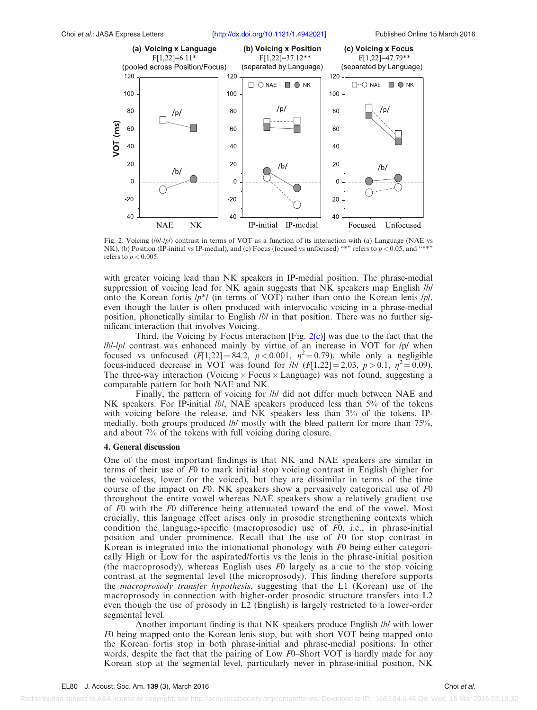#### <span id="page-4-0"></span>Choi et al.: JASA Express Letters [\[http://dx.doi.org/10.1121/1.4942021\]](http://dx.doi.org/10.1121/1.4942021) Published Online 15 March 2016



Fig. 2. Voicing (*lb/-/p/*) contrast in terms of VOT as a function of its interaction with (a) Language (NAE vs NK), (b) Position (IP-initial vs IP-medial), and (c) Focus (focused vs unfocused) "\*" refers to  $p < 0.05$ , and "\*" refers to  $p < 0.005$ .

with greater voicing lead than NK speakers in IP-medial position. The phrase-medial suppression of voicing lead for NK again suggests that NK speakers map English *lbl* onto the Korean fortis  $/p^*/$  (in terms of VOT) rather than onto the Korean lenis  $/p/$ , even though the latter is often produced with intervocalic voicing in a phrase-medial position, phonetically similar to English /b/ in that position. There was no further significant interaction that involves Voicing.

Third, the Voicing by Focus interaction [Fig.  $2(c)$ ] was due to the fact that the  $/bI$ -/p/ contrast was enhanced mainly by virtue of an increase in VOT for /p/ when focused vs unfocused  $(F[1,22] = 84.2, p < 0.001, \eta^2 = 0.79)$ , while only a negligible focus-induced decrease in VOT was found for *lbl*  $(F[1,22] = 2.03, p > 0.1, \eta^2 = 0.09)$ . The three-way interaction (Voicing  $\times$  Focus  $\times$  Language) was not found, suggesting a comparable pattern for both NAE and NK.

Finally, the pattern of voicing for *lb/* did not differ much between NAE and NK speakers. For IP-initial *lbl*, NAE speakers produced less than 5% of the tokens with voicing before the release, and NK speakers less than 3% of the tokens. IPmedially, both groups produced  $/b/$  mostly with the bleed pattern for more than  $75\%$ , and about 7% of the tokens with full voicing during closure.

## 4. General discussion

One of the most important findings is that NK and NAE speakers are similar in terms of their use of F0 to mark initial stop voicing contrast in English (higher for the voiceless, lower for the voiced), but they are dissimilar in terms of the time course of the impact on  $F0$ . NK speakers show a pervasively categorical use of  $F0$ throughout the entire vowel whereas NAE speakers show a relatively gradient use of F0 with the F0 difference being attenuated toward the end of the vowel. Most crucially, this language effect arises only in prosodic strengthening contexts which condition the language-specific (macroprosodic) use of F0, i.e., in phrase-initial position and under prominence. Recall that the use of F0 for stop contrast in Korean is integrated into the intonational phonology with F0 being either categorically High or Low for the aspirated/fortis vs the lenis in the phrase-initial position (the macroprosody), whereas English uses  $F0$  largely as a cue to the stop voicing contrast at the segmental level (the microprosody). This finding therefore supports the macroprosody transfer hypothesis, suggesting that the L1 (Korean) use of the macroprosody in connection with higher-order prosodic structure transfers into L2 even though the use of prosody in L2 (English) is largely restricted to a lower-order segmental level.

Another important finding is that NK speakers produce English /b/ with lower F0 being mapped onto the Korean lenis stop, but with short VOT being mapped onto the Korean fortis stop in both phrase-initial and phrase-medial positions. In other words, despite the fact that the pairing of Low F0–Short VOT is hardly made for any Korean stop at the segmental level, particularly never in phrase-initial position, NK

Redistribution subject to ASA license or copyright; see http://acousticalsociety.org/content/terms. Download to IP: 166.104.6.46 On: Wed, 16 Mar 2016 03:19:32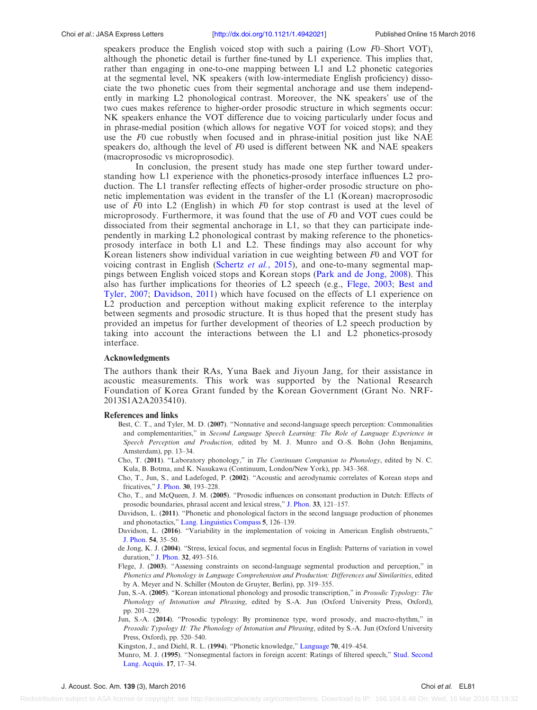<span id="page-5-0"></span>speakers produce the English voiced stop with such a pairing (Low F0–Short VOT), although the phonetic detail is further fine-tuned by L1 experience. This implies that, rather than engaging in one-to-one mapping between L1 and L2 phonetic categories at the segmental level, NK speakers (with low-intermediate English proficiency) dissociate the two phonetic cues from their segmental anchorage and use them independently in marking L2 phonological contrast. Moreover, the NK speakers' use of the two cues makes reference to higher-order prosodic structure in which segments occur: NK speakers enhance the VOT difference due to voicing particularly under focus and in phrase-medial position (which allows for negative VOT for voiced stops); and they use the F0 cue robustly when focused and in phrase-initial position just like NAE speakers do, although the level of  $F0$  used is different between NK and NAE speakers (macroprosodic vs microprosodic).

In conclusion, the present study has made one step further toward understanding how L1 experience with the phonetics-prosody interface influences L2 production. The L1 transfer reflecting effects of higher-order prosodic structure on phonetic implementation was evident in the transfer of the L1 (Korean) macroprosodic use of  $F0$  into L2 (English) in which  $F0$  for stop contrast is used at the level of microprosody. Furthermore, it was found that the use of  $F0$  and VOT cues could be dissociated from their segmental anchorage in L1, so that they can participate independently in marking L2 phonological contrast by making reference to the phoneticsprosody interface in both L1 and L2. These findings may also account for why Korean listeners show individual variation in cue weighting between F0 and VOT for voicing contrast in English ([Schertz](#page-6-0) et al., 2015), and one-to-many segmental mappings between English voiced stops and Korean stops ([Park and de Jong, 2008](#page-6-0)). This also has further implications for theories of L2 speech (e.g., Flege, 2003; Best and Tyler, 2007; Davidson, 2011) which have focused on the effects of L1 experience on L2 production and perception without making explicit reference to the interplay between segments and prosodic structure. It is thus hoped that the present study has provided an impetus for further development of theories of L2 speech production by taking into account the interactions between the L1 and L2 phonetics-prosody interface.

#### Acknowledgments

The authors thank their RAs, Yuna Baek and Jiyoun Jang, for their assistance in acoustic measurements. This work was supported by the National Research Foundation of Korea Grant funded by the Korean Government (Grant No. NRF-2013S1A2A2035410).

#### References and links

- Best, C. T., and Tyler, M. D. (2007). "Nonnative and second-language speech perception: Commonalities and complementarities," in Second Language Speech Learning: The Role of Language Experience in Speech Perception and Production, edited by M. J. Munro and O.-S. Bohn (John Benjamins, Amsterdam), pp. 13–34.
- Cho, T. (2011). "Laboratory phonology," in The Continuum Companion to Phonology, edited by N. C. Kula, B. Botma, and K. Nasukawa (Continuum, London/New York), pp. 343–368.
- Cho, T., Jun, S., and Ladefoged, P. (2002). "Acoustic and aerodynamic correlates of Korean stops and fricatives," [J. Phon.](http://dx.doi.org/10.1006/jpho.2001.0153) 30, 193–228.
- Cho, T., and McQueen, J. M. (2005). "Prosodic influences on consonant production in Dutch: Effects of prosodic boundaries, phrasal accent and lexical stress," [J. Phon.](http://dx.doi.org/10.1016/j.wocn.2005.01.001) 33, 121–157.
- Davidson, L. (2011). "Phonetic and phonological factors in the second language production of phonemes and phonotactics," [Lang. Linguistics Compass](http://dx.doi.org/10.1111/j.1749-818X.2010.00266.x) 5, 126–139.
- Davidson, L. (2016). "Variability in the implementation of voicing in American English obstruents," [J. Phon.](http://dx.doi.org/10.1016/j.wocn.2015.09.003) 54, 35–50.
- de Jong, K. J. (2004). "Stress, lexical focus, and segmental focus in English: Patterns of variation in vowel duration," [J. Phon.](http://dx.doi.org/10.1016/j.wocn.2004.05.002) 32, 493–516.
- Flege, J. (2003). "Assessing constraints on second-language segmental production and perception," in Phonetics and Phonology in Language Comprehension and Production: Differences and Similarities, edited by A. Meyer and N. Schiller (Mouton de Gruyter, Berlin), pp. 319–355.
- Jun, S.-A. (2005). "Korean intonational phonology and prosodic transcription," in Prosodic Typology: The Phonology of Intonation and Phrasing, edited by S.-A. Jun (Oxford University Press, Oxford), pp. 201–229.
- Jun, S.-A. (2014). "Prosodic typology: By prominence type, word prosody, and macro-rhythm," in Prosodic Typology II: The Phonology of Intonation and Phrasing, edited by S.-A. Jun (Oxford University Press, Oxford), pp. 520–540.
- Kingston, J., and Diehl, R. L. (1994). "Phonetic knowledge," [Language](http://dx.doi.org/10.1353/lan.1994.0023) 70, 419–454.
- Munro, M. J. (1995). "Nonsegmental factors in foreign accent: Ratings of filtered speech," [Stud. Second](http://dx.doi.org/10.1017/S0272263100013735) [Lang. Acquis.](http://dx.doi.org/10.1017/S0272263100013735) 17, 17–34.